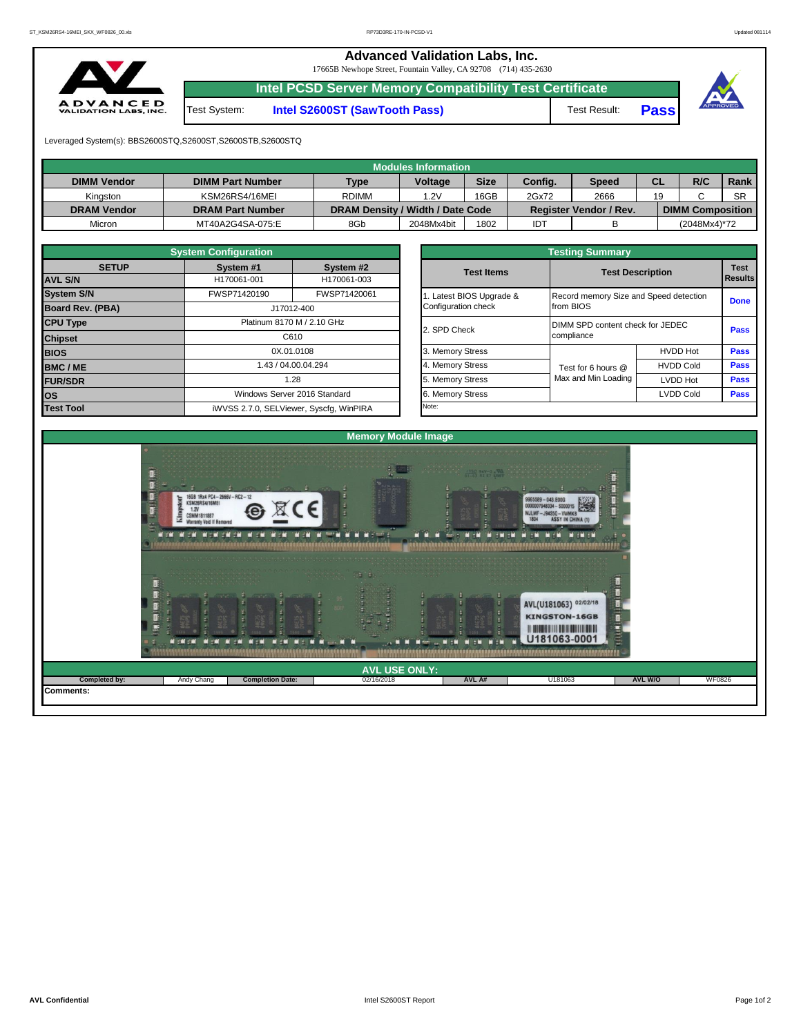**Advanced Validation Labs, Inc.** 

17665B Newhope Street, Fountain Valley, CA 92708 (714) 435-2630



**Intel PCSD Server Memory Compatibility Test Certificate**

Test System: **Intel S2600ST (SawTooth Pass)** Test Result: **Pass**





Leveraged System(s): BBS2600STQ,S2600ST,S2600STB,S2600STQ

|                    |                         |                                  | Modules Information |             |         |                               |           |                         |           |
|--------------------|-------------------------|----------------------------------|---------------------|-------------|---------|-------------------------------|-----------|-------------------------|-----------|
| <b>DIMM Vendor</b> | <b>DIMM Part Number</b> | <b>Type</b>                      | <b>Voltage</b>      | <b>Size</b> | Config. | <b>Speed</b>                  | <b>CL</b> | R/C                     | Rank      |
| Kinaston           | KSM26RS4/16MEI          | <b>RDIMM</b>                     | .2V                 | 16GB        | 2Gx72   | 2666                          | 19        |                         | <b>SR</b> |
| <b>DRAM Vendor</b> | <b>DRAM Part Number</b> | DRAM Density / Width / Date Code |                     |             |         | <b>Register Vendor / Rev.</b> |           | <b>DIMM Composition</b> |           |
| Micron             | MT40A2G4SA-075:E        | 8Gb                              | 2048Mx4bit          | 1802        | IDT     |                               |           | (2048Mx4)*72            |           |

|                                       | <b>System Configuration</b>        |                                         | <b>Testing Summary</b>   |                                  |                                        |             |  |  |  |  |  |  |
|---------------------------------------|------------------------------------|-----------------------------------------|--------------------------|----------------------------------|----------------------------------------|-------------|--|--|--|--|--|--|
| <b>SETUP</b>                          | System #1                          | System #2                               | <b>Test Items</b>        |                                  | <b>Test Description</b>                | <b>Test</b> |  |  |  |  |  |  |
| <b>AVL S/N</b>                        | H170061-001                        | H170061-003                             |                          |                                  |                                        |             |  |  |  |  |  |  |
| <b>System S/N</b>                     | FWSP71420190                       | FWSP71420061                            | 1. Latest BIOS Upgrade & |                                  | Record memory Size and Speed detection |             |  |  |  |  |  |  |
| <b>Board Rev. (PBA)</b><br>J17012-400 |                                    | Configuration check                     | from BIOS                |                                  |                                        |             |  |  |  |  |  |  |
| <b>CPU Type</b>                       | Platinum 8170 M / 2.10 GHz<br>C610 |                                         | 2. SPD Check             | DIMM SPD content check for JEDEC |                                        |             |  |  |  |  |  |  |
| <b>Chipset</b>                        |                                    |                                         |                          | compliance                       |                                        |             |  |  |  |  |  |  |
| <b>BIOS</b>                           |                                    | 0X.01.0108                              | 3. Memory Stress         |                                  | <b>HVDD Hot</b>                        | Pass        |  |  |  |  |  |  |
| <b>BMC/ME</b>                         |                                    | 1.43 / 04.00.04.294                     | 4. Memory Stress         | Test for 6 hours @               | <b>HVDD Cold</b>                       | <b>Pass</b> |  |  |  |  |  |  |
| <b>FUR/SDR</b>                        |                                    | 1.28                                    | 5. Memory Stress         | Max and Min Loading              | <b>LVDD Hot</b>                        | <b>Pass</b> |  |  |  |  |  |  |
| los                                   |                                    | Windows Server 2016 Standard            | 6. Memory Stress         |                                  | <b>LVDD Cold</b>                       | <b>Pass</b> |  |  |  |  |  |  |
| <b>Test Tool</b>                      |                                    | iWVSS 2.7.0, SELViewer, Syscfg, WinPIRA | Note:                    |                                  |                                        |             |  |  |  |  |  |  |

|              | <b>System Configuration</b> |                                    | <b>Testing Summary</b> |                     |                                                |                |  |  |  |  |
|--------------|-----------------------------|------------------------------------|------------------------|---------------------|------------------------------------------------|----------------|--|--|--|--|
| <b>SETUP</b> | System #1                   | System #2                          |                        |                     | <b>Test Description</b>                        |                |  |  |  |  |
|              | H170061-001                 | H170061-003                        | <b>Test Items</b>      |                     |                                                | <b>Results</b> |  |  |  |  |
|              | FWSP71420190                | FWSP71420061                       | Latest BIOS Upgrade &  |                     | Record memory Size and Speed detection         |                |  |  |  |  |
| PBA)         |                             | J17012-400                         | Configuration check    | from BIOS           |                                                | <b>Done</b>    |  |  |  |  |
|              |                             | Platinum 8170 M / 2.10 GHz         | 2. SPD Check           |                     | DIMM SPD content check for JEDEC<br>compliance |                |  |  |  |  |
|              |                             | C610                               |                        |                     |                                                |                |  |  |  |  |
|              |                             | 0X.01.0108                         | 3. Memory Stress       |                     | <b>HVDD Hot</b>                                | Pass           |  |  |  |  |
|              |                             | 1.43 / 04.00.04.294                | 4. Memory Stress       | Test for 6 hours @  | <b>HVDD Cold</b>                               | Pass           |  |  |  |  |
|              |                             | 1.28                               | 5. Memory Stress       | Max and Min Loading | LVDD Hot                                       | Pass           |  |  |  |  |
|              |                             | Windows Server 2016 Standard       | 6. Memory Stress       |                     | <b>LVDD Cold</b>                               | Pass           |  |  |  |  |
|              |                             | iMVSS 270 SELViewer Svecta WinPIRA | Note:                  |                     |                                                |                |  |  |  |  |